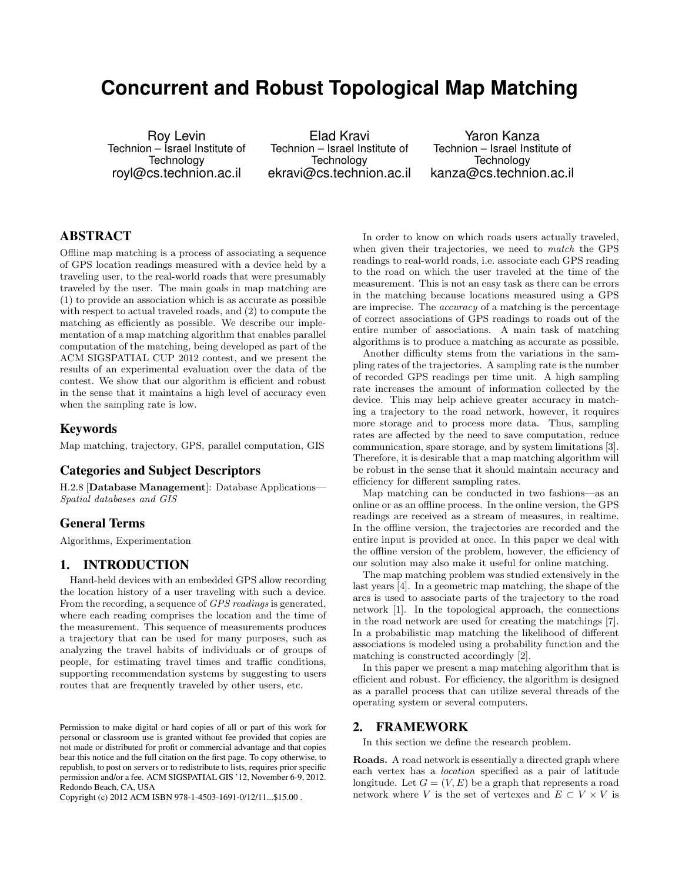# **Concurrent and Robust Topological Map Matching**

Roy Levin Technion – Israel Institute of **Technology** royl@cs.technion.ac.il

Elad Kravi Technion – Israel Institute of **Technology** ekravi@cs.technion.ac.il

Yaron Kanza Technion – Israel Institute of Technology kanza@cs.technion.ac.il

# ABSTRACT

Offline map matching is a process of associating a sequence of GPS location readings measured with a device held by a traveling user, to the real-world roads that were presumably traveled by the user. The main goals in map matching are (1) to provide an association which is as accurate as possible with respect to actual traveled roads, and (2) to compute the matching as efficiently as possible. We describe our implementation of a map matching algorithm that enables parallel computation of the matching, being developed as part of the ACM SIGSPATIAL CUP 2012 contest, and we present the results of an experimental evaluation over the data of the contest. We show that our algorithm is efficient and robust in the sense that it maintains a high level of accuracy even when the sampling rate is low.

## Keywords

Map matching, trajectory, GPS, parallel computation, GIS

# Categories and Subject Descriptors

H.2.8 [Database Management]: Database Applications— Spatial databases and GIS

## General Terms

Algorithms, Experimentation

## 1. INTRODUCTION

Hand-held devices with an embedded GPS allow recording the location history of a user traveling with such a device. From the recording, a sequence of GPS readings is generated, where each reading comprises the location and the time of the measurement. This sequence of measurements produces a trajectory that can be used for many purposes, such as analyzing the travel habits of individuals or of groups of people, for estimating travel times and traffic conditions, supporting recommendation systems by suggesting to users routes that are frequently traveled by other users, etc.

Copyright (c) 2012 ACM ISBN 978-1-4503-1691-0/12/11...\$15.00 .

In order to know on which roads users actually traveled, when given their trajectories, we need to match the GPS readings to real-world roads, i.e. associate each GPS reading to the road on which the user traveled at the time of the measurement. This is not an easy task as there can be errors in the matching because locations measured using a GPS are imprecise. The accuracy of a matching is the percentage of correct associations of GPS readings to roads out of the entire number of associations. A main task of matching algorithms is to produce a matching as accurate as possible.

Another difficulty stems from the variations in the sampling rates of the trajectories. A sampling rate is the number of recorded GPS readings per time unit. A high sampling rate increases the amount of information collected by the device. This may help achieve greater accuracy in matching a trajectory to the road network, however, it requires more storage and to process more data. Thus, sampling rates are affected by the need to save computation, reduce communication, spare storage, and by system limitations [3]. Therefore, it is desirable that a map matching algorithm will be robust in the sense that it should maintain accuracy and efficiency for different sampling rates.

Map matching can be conducted in two fashions—as an online or as an offline process. In the online version, the GPS readings are received as a stream of measures, in realtime. In the offline version, the trajectories are recorded and the entire input is provided at once. In this paper we deal with the offline version of the problem, however, the efficiency of our solution may also make it useful for online matching.

The map matching problem was studied extensively in the last years [4]. In a geometric map matching, the shape of the arcs is used to associate parts of the trajectory to the road network [1]. In the topological approach, the connections in the road network are used for creating the matchings [7]. In a probabilistic map matching the likelihood of different associations is modeled using a probability function and the matching is constructed accordingly [2].

In this paper we present a map matching algorithm that is efficient and robust. For efficiency, the algorithm is designed as a parallel process that can utilize several threads of the operating system or several computers.

## 2. FRAMEWORK

In this section we define the research problem.

Roads. A road network is essentially a directed graph where each vertex has a location specified as a pair of latitude longitude. Let  $G = (V, E)$  be a graph that represents a road network where V is the set of vertexes and  $E \subset V \times V$  is

Permission to make digital or hard copies of all or part of this work for personal or classroom use is granted without fee provided that copies are not made or distributed for profit or commercial advantage and that copies bear this notice and the full citation on the first page. To copy otherwise, to republish, to post on servers or to redistribute to lists, requires prior specific permission and/or a fee. ACM SIGSPATIAL GIS '12, November 6-9, 2012. Redondo Beach, CA, USA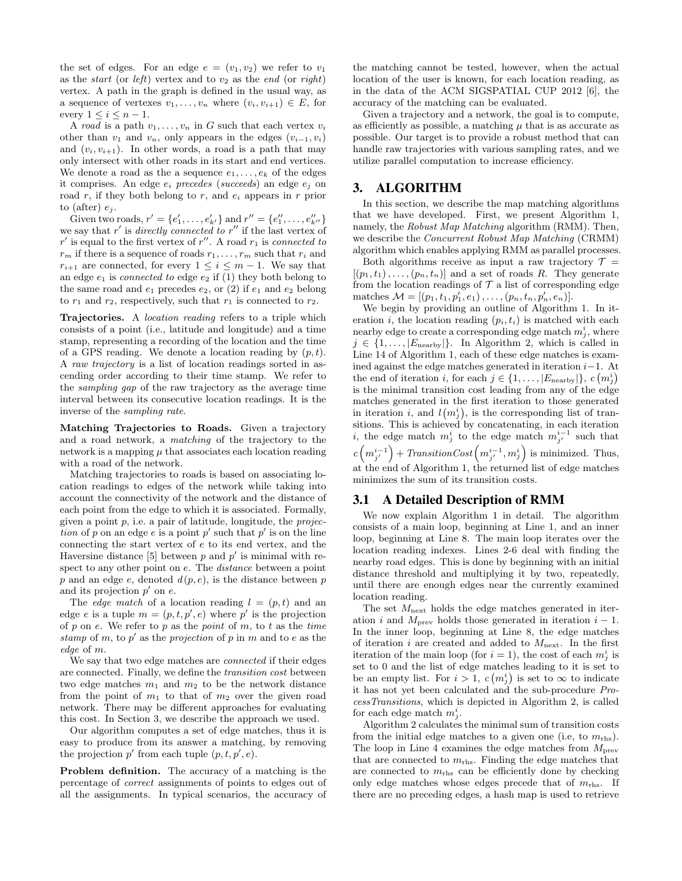the set of edges. For an edge  $e = (v_1, v_2)$  we refer to  $v_1$ as the *start* (or *left*) vertex and to  $v_2$  as the *end* (or *right*) vertex. A path in the graph is defined in the usual way, as a sequence of vertexes  $v_1, \ldots, v_n$  where  $(v_i, v_{i+1}) \in E$ , for every  $1 \leq i \leq n-1$ .

A road is a path  $v_1, \ldots, v_n$  in G such that each vertex  $v_i$ other than  $v_1$  and  $v_n$ , only appears in the edges  $(v_{i-1}, v_i)$ and  $(v_i, v_{i+1})$ . In other words, a road is a path that may only intersect with other roads in its start and end vertices. We denote a road as the a sequence  $e_1, \ldots, e_k$  of the edges it comprises. An edge  $e_i$  precedes (succeeds) an edge  $e_j$  on road  $r$ , if they both belong to  $r$ , and  $e_i$  appears in  $r$  prior to (after)  $e_i$ .

Given two roads,  $r' = \{e'_1, \ldots, e'_{k'}\}$  and  $r'' = \{e''_1, \ldots, e''_{k''}\}$ we say that r' is directly connected to r'' if the last vertex of r' is equal to the first vertex of r''. A road  $r_1$  is connected to  $r_m$  if there is a sequence of roads  $r_1, \ldots, r_m$  such that  $r_i$  and  $r_{i+1}$  are connected, for every  $1 \leq i \leq m-1$ . We say that an edge  $e_1$  is *connected to* edge  $e_2$  if (1) they both belong to the same road and  $e_1$  precedes  $e_2$ , or (2) if  $e_1$  and  $e_2$  belong to  $r_1$  and  $r_2$ , respectively, such that  $r_1$  is connected to  $r_2$ .

Trajectories. A location reading refers to a triple which consists of a point (i.e., latitude and longitude) and a time stamp, representing a recording of the location and the time of a GPS reading. We denote a location reading by  $(p, t)$ . A raw trajectory is a list of location readings sorted in ascending order according to their time stamp. We refer to the sampling gap of the raw trajectory as the average time interval between its consecutive location readings. It is the inverse of the sampling rate.

Matching Trajectories to Roads. Given a trajectory and a road network, a matching of the trajectory to the network is a mapping  $\mu$  that associates each location reading with a road of the network.

Matching trajectories to roads is based on associating location readings to edges of the network while taking into account the connectivity of the network and the distance of each point from the edge to which it is associated. Formally, given a point  $p$ , i.e. a pair of latitude, longitude, the *projec*tion of p on an edge e is a point  $p'$  such that  $p'$  is on the line connecting the start vertex of e to its end vertex, and the Haversine distance [5] between  $p$  and  $p'$  is minimal with respect to any other point on e. The distance between a point  $p$  and an edge  $e$ , denoted  $d(p, e)$ , is the distance between  $p$ and its projection  $p'$  on  $e$ .

The *edge match* of a location reading  $l = (p, t)$  and an edge e is a tuple  $m = (p, t, p', e)$  where p' is the projection of p on e. We refer to p as the point of m, to t as the time stamp of m, to  $p'$  as the projection of p in m and to e as the edge of m.

We say that two edge matches are *connected* if their edges are connected. Finally, we define the transition cost between two edge matches  $m_1$  and  $m_2$  to be the network distance from the point of  $m_1$  to that of  $m_2$  over the given road network. There may be different approaches for evaluating this cost. In Section 3, we describe the approach we used.

Our algorithm computes a set of edge matches, thus it is easy to produce from its answer a matching, by removing the projection  $p'$  from each tuple  $(p, t, p', e)$ .

Problem definition. The accuracy of a matching is the percentage of correct assignments of points to edges out of all the assignments. In typical scenarios, the accuracy of the matching cannot be tested, however, when the actual location of the user is known, for each location reading, as in the data of the ACM SIGSPATIAL CUP 2012 [6], the accuracy of the matching can be evaluated.

Given a trajectory and a network, the goal is to compute, as efficiently as possible, a matching  $\mu$  that is as accurate as possible. Our target is to provide a robust method that can handle raw trajectories with various sampling rates, and we utilize parallel computation to increase efficiency.

#### 3. ALGORITHM

In this section, we describe the map matching algorithms that we have developed. First, we present Algorithm 1, namely, the Robust Map Matching algorithm (RMM). Then, we describe the Concurrent Robust Map Matching (CRMM) algorithm which enables applying RMM as parallel processes.

Both algorithms receive as input a raw trajectory  $\mathcal{T} =$  $[(p_1, t_1), \ldots, (p_n, t_n)]$  and a set of roads R. They generate from the location readings of  $\mathcal T$  a list of corresponding edge matches  $\mathcal{M} = [(p_1, t_1, p'_1, e_1), \ldots, (p_n, t_n, p'_n, e_n)].$ 

We begin by providing an outline of Algorithm 1. In iteration i, the location reading  $(p_i, t_i)$  is matched with each nearby edge to create a corresponding edge match  $m_j^i$ , where  $j \in \{1, \ldots, |E_{\text{nearby}}|\}.$  In Algorithm 2, which is called in Line 14 of Algorithm 1, each of these edge matches is examined against the edge matches generated in iteration  $i-1$ . At the end of iteration *i*, for each  $j \in \{1, \ldots, |E_{\text{nearby}}|\}, c(m_j^i)$ is the minimal transition cost leading from any of the edge matches generated in the first iteration to those generated in iteration *i*, and  $l(m_j^i)$ , is the corresponding list of transitions. This is achieved by concatenating, in each iteration *i*, the edge match  $m_j^i$  to the edge match  $m_{j'}^{i-1}$  such that  $c\left(m_{j'}^{i-1}\right)$  + TransitionCost  $\left(m_{j'}^{i-1}, m_j^{i}\right)$  is minimized. Thus, at the end of Algorithm 1, the returned list of edge matches minimizes the sum of its transition costs.

#### 3.1 A Detailed Description of RMM

We now explain Algorithm 1 in detail. The algorithm consists of a main loop, beginning at Line 1, and an inner loop, beginning at Line 8. The main loop iterates over the location reading indexes. Lines 2-6 deal with finding the nearby road edges. This is done by beginning with an initial distance threshold and multiplying it by two, repeatedly, until there are enough edges near the currently examined location reading.

The set  $M_{\text{next}}$  holds the edge matches generated in iteration *i* and  $M_{\text{prev}}$  holds those generated in iteration  $i - 1$ . In the inner loop, beginning at Line 8, the edge matches of iteration i are created and added to  $M_{\text{next}}$ . In the first iteration of the main loop (for  $i = 1$ ), the cost of each  $m_j^i$  is set to 0 and the list of edge matches leading to it is set to be an empty list. For  $i > 1$ ,  $c(m_j^i)$  is set to  $\infty$  to indicate it has not yet been calculated and the sub-procedure ProcessTransitions, which is depicted in Algorithm 2, is called for each edge match  $m_j^i$ .

Algorithm 2 calculates the minimal sum of transition costs from the initial edge matches to a given one (i.e, to  $m_{\text{rhs}}$ ). The loop in Line 4 examines the edge matches from  $M<sub>prev</sub>$ that are connected to  $m_{\text{rhs}}$ . Finding the edge matches that are connected to  $m_{\text{rhs}}$  can be efficiently done by checking only edge matches whose edges precede that of  $m_{\text{rhs}}$ . If there are no preceding edges, a hash map is used to retrieve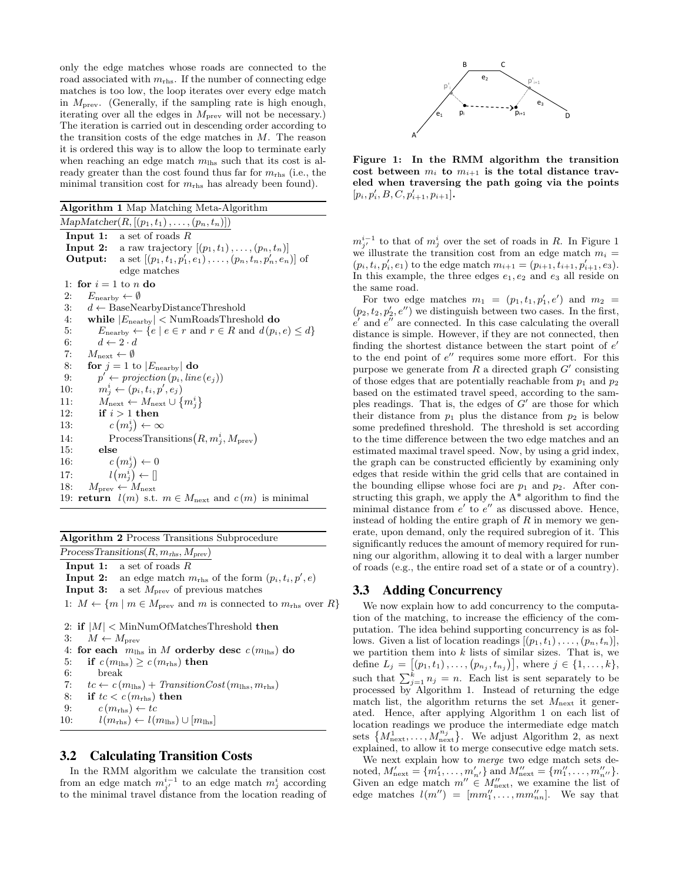only the edge matches whose roads are connected to the road associated with  $m_{\text{rhs}}$ . If the number of connecting edge matches is too low, the loop iterates over every edge match in  $M<sub>prev</sub>$ . (Generally, if the sampling rate is high enough, iterating over all the edges in  $M<sub>prev</sub>$  will not be necessary.) The iteration is carried out in descending order according to the transition costs of the edge matches in  $M$ . The reason it is ordered this way is to allow the loop to terminate early when reaching an edge match  $m_{\text{h}}$  such that its cost is already greater than the cost found thus far for  $m_{\text{rhs}}$  (i.e., the minimal transition cost for  $m_{\text{rhs}}$  has already been found).

Algorithm 1 Map Matching Meta-Algorithm

 $MapMatcher(R, [(p_1, t_1), \ldots, (p_n, t_n)])$ **Input 1:** a set of roads  $R$ **Input 2:** a raw trajectory  $[(p_1, t_1), \ldots, (p_n, t_n)]$ **Output:** a set  $[(p_1, t_1, p'_1, e_1), \ldots, (p_n, t_n, p'_n, e_n)]$  of edge matches 1: for  $i = 1$  to n do 2:  $E_{\text{nearby}} \leftarrow \emptyset$ 3:  $d \leftarrow$  BaseNearbyDistanceThreshold 4: while  $|E_{\text{nearby}}| < \text{NumReadsThreshold}$  do 5:  $E_{\text{nearby}} \leftarrow \{e \mid e \in r \text{ and } r \in R \text{ and } d(p_i, e) \leq d\}$ 6:  $d \leftarrow 2 \cdot d$ 7:  $M_{\text{next}} \leftarrow \emptyset$ 8: **for**  $j = 1$  to  $|E_{\text{nearby}}|$  do 9:  $p' \leftarrow projection(p_i, line(e_j))$ 10:  $m_j^i \leftarrow (p_i, t_i, p', e_j)$ 11:  $M_{\text{next}} \leftarrow M_{\text{next}} \cup \{m_j^i\}$ 12: if  $i > 1$  then  $13:$  $\left(m_j^i\right) \leftarrow \infty$ 14: ProcessTransitions $(R, m_j^i, M_{prev})$ 15: else  $16:$  $\left(m_j^i\right) \leftarrow 0$ 17:  $l(m_j^i) \leftarrow []$ 18:  $M_{\text{prev}} \leftarrow M_{\text{next}}$ 19: **return**  $l(m)$  s.t.  $m \in M_{\text{next}}$  and  $c(m)$  is minimal

Algorithm 2 Process Transitions Subprocedure

 $ProcessTransitions(R, m_{\text{rhs}}, M_{\text{prev}})$ 

**Input 1:** a set of roads  $R$ **Input 2:** an edge match  $m_{\text{rhs}}$  of the form  $(p_i, t_i, p', e)$ **Input 3:** a set  $M<sub>prev</sub>$  of previous matches 1:  $M \leftarrow \{m \mid m \in M_{\text{prev}} \text{ and } m \text{ is connected to } m_{\text{rhs}} \text{ over } R \}$ 

```
2: if |M| < MinNumOfMatchesThreshold then
3: M \leftarrow M_{\text{prev}}4: for each m_{\text{h}} in M orderby desc c (m_{\text{h}}) do
5: if c(m_{\text{hls}}) \geq c(m_{\text{rhs}}) then
6: break
7: tc \leftarrow c(m_{\text{lhs}}) + TransitionCost(m_{\text{lhs}}, m_{\text{rhs}})8: if tc < c(m_{\text{rhs}}) then
9: c (m_{\text{rhs}}) \leftarrow tc10: l(m_{\text{rhs}}) \leftarrow l(m_{\text{ll}}) \cup [m_{\text{ll}}]
```
## 3.2 Calculating Transition Costs

In the RMM algorithm we calculate the transition cost from an edge match  $m_{j'}^{i-1}$  to an edge match  $m_j^i$  according to the minimal travel distance from the location reading of



Figure 1: In the RMM algorithm the transition cost between  $m_i$  to  $m_{i+1}$  is the total distance traveled when traversing the path going via the points  $[p_i, p'_i, B, C, p'_{i+1}, p_{i+1}].$ 

 $m_{j'}^{i-1}$  to that of  $m_j^i$  over the set of roads in R. In Figure 1 we illustrate the transition cost from an edge match  $m_i =$  $(p_i, t_i, p'_i, e_1)$  to the edge match  $m_{i+1} = (p_{i+1}, t_{i+1}, p'_{i+1}, e_3)$ . In this example, the three edges  $e_1, e_2$  and  $e_3$  all reside on the same road.

For two edge matches  $m_1 = (p_1, t_1, p'_1, e')$  and  $m_2 =$  $(p_2, t_2, p'_2, e'')$  we distinguish between two cases. In the first,  $e'$  and  $e''$  are connected. In this case calculating the overall distance is simple. However, if they are not connected, then finding the shortest distance between the start point of  $e'$ to the end point of  $e''$  requires some more effort. For this purpose we generate from  $R$  a directed graph  $G'$  consisting of those edges that are potentially reachable from  $p_1$  and  $p_2$ based on the estimated travel speed, according to the samples readings. That is, the edges of  $G'$  are those for which their distance from  $p_1$  plus the distance from  $p_2$  is below some predefined threshold. The threshold is set according to the time difference between the two edge matches and an estimated maximal travel speed. Now, by using a grid index, the graph can be constructed efficiently by examining only edges that reside within the grid cells that are contained in the bounding ellipse whose foci are  $p_1$  and  $p_2$ . After constructing this graph, we apply the A\* algorithm to find the minimal distance from  $e'$  to  $e''$  as discussed above. Hence, instead of holding the entire graph of  $R$  in memory we generate, upon demand, only the required subregion of it. This significantly reduces the amount of memory required for running our algorithm, allowing it to deal with a larger number of roads (e.g., the entire road set of a state or of a country).

# 3.3 Adding Concurrency

We now explain how to add concurrency to the computation of the matching, to increase the efficiency of the computation. The idea behind supporting concurrency is as follows. Given a list of location readings  $[(p_1, t_1), \ldots, (p_n, t_n)],$ we partition them into  $k$  lists of similar sizes. That is, we define  $L_j = [(p_1, t_1), \ldots, (p_{n_j}, t_{n_j})]$ , where  $j \in \{1, \ldots, k\}$ , such that  $\sum_{j=1}^{k} n_j = n$ . Each list is sent separately to be processed by Algorithm 1. Instead of returning the edge match list, the algorithm returns the set  $M_{\text{next}}$  it generated. Hence, after applying Algorithm 1 on each list of location readings we produce the intermediate edge match sets  $\{M_{\text{next}}^1, \ldots, M_{\text{next}}^{n_j}\}\$ . We adjust Algorithm 2, as next explained, to allow it to merge consecutive edge match sets.

We next explain how to merge two edge match sets denoted,  $M'_{\text{next}} = \{m'_1, \ldots, m'_{n'}\}$  and  $M''_{\text{next}} = \{m''_1, \ldots, m''_{n'}\}.$ Given an edge match  $m'' \in M''_{\text{next}}$ , we examine the list of edge matches  $l(m'') = [mm''_1, \ldots, mm''_{nn}]$ . We say that